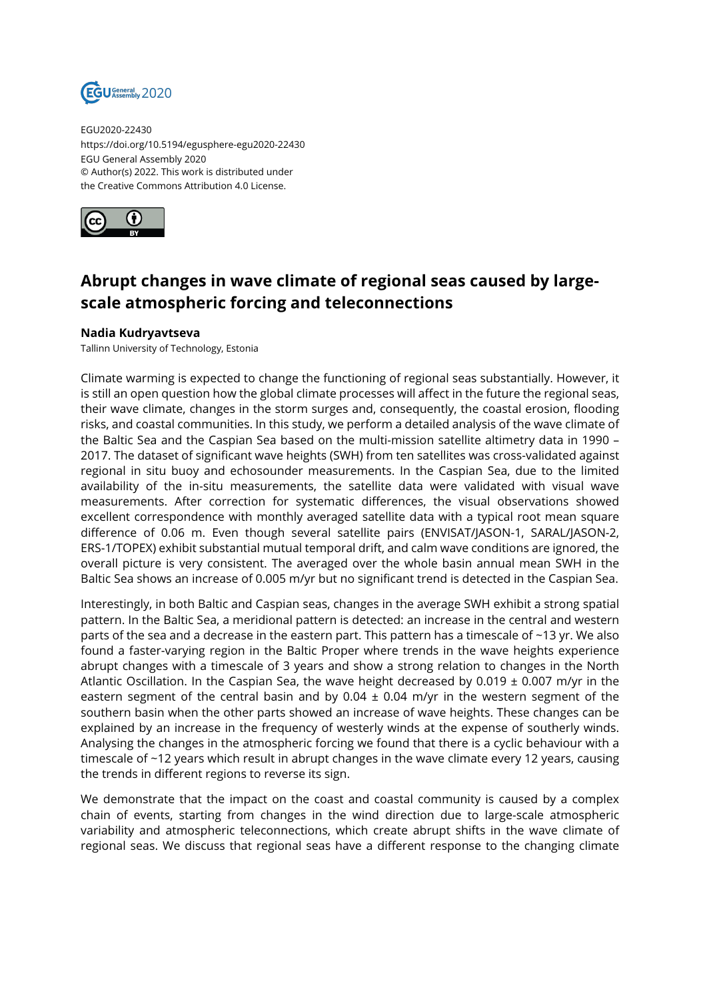

EGU2020-22430 https://doi.org/10.5194/egusphere-egu2020-22430 EGU General Assembly 2020 © Author(s) 2022. This work is distributed under the Creative Commons Attribution 4.0 License.



## **Abrupt changes in wave climate of regional seas caused by largescale atmospheric forcing and teleconnections**

## **Nadia Kudryavtseva**

Tallinn University of Technology, Estonia

Climate warming is expected to change the functioning of regional seas substantially. However, it is still an open question how the global climate processes will affect in the future the regional seas, their wave climate, changes in the storm surges and, consequently, the coastal erosion, flooding risks, and coastal communities. In this study, we perform a detailed analysis of the wave climate of the Baltic Sea and the Caspian Sea based on the multi-mission satellite altimetry data in 1990 – 2017. The dataset of significant wave heights (SWH) from ten satellites was cross-validated against regional in situ buoy and echosounder measurements. In the Caspian Sea, due to the limited availability of the in-situ measurements, the satellite data were validated with visual wave measurements. After correction for systematic differences, the visual observations showed excellent correspondence with monthly averaged satellite data with a typical root mean square difference of 0.06 m. Even though several satellite pairs (ENVISAT/JASON-1, SARAL/JASON-2, ERS-1/TOPEX) exhibit substantial mutual temporal drift, and calm wave conditions are ignored, the overall picture is very consistent. The averaged over the whole basin annual mean SWH in the Baltic Sea shows an increase of 0.005 m/yr but no significant trend is detected in the Caspian Sea.

Interestingly, in both Baltic and Caspian seas, changes in the average SWH exhibit a strong spatial pattern. In the Baltic Sea, a meridional pattern is detected: an increase in the central and western parts of the sea and a decrease in the eastern part. This pattern has a timescale of ~13 yr. We also found a faster-varying region in the Baltic Proper where trends in the wave heights experience abrupt changes with a timescale of 3 years and show a strong relation to changes in the North Atlantic Oscillation. In the Caspian Sea, the wave height decreased by 0.019  $\pm$  0.007 m/yr in the eastern segment of the central basin and by 0.04  $\pm$  0.04 m/yr in the western segment of the southern basin when the other parts showed an increase of wave heights. These changes can be explained by an increase in the frequency of westerly winds at the expense of southerly winds. Analysing the changes in the atmospheric forcing we found that there is a cyclic behaviour with a timescale of ~12 years which result in abrupt changes in the wave climate every 12 years, causing the trends in different regions to reverse its sign.

We demonstrate that the impact on the coast and coastal community is caused by a complex chain of events, starting from changes in the wind direction due to large-scale atmospheric variability and atmospheric teleconnections, which create abrupt shifts in the wave climate of regional seas. We discuss that regional seas have a different response to the changing climate